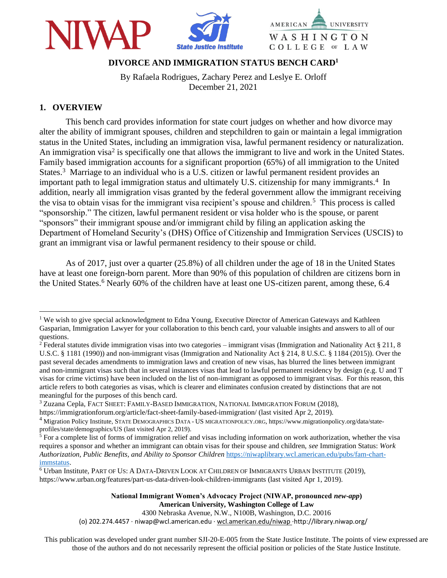



# **DIVORCE AND IMMIGRATION STATUS BENCH CARD<sup>1</sup>**

By Rafaela Rodrigues, Zachary Perez and Leslye E. Orloff December 21, 2021

### **1. OVERVIEW**

This bench card provides information for state court judges on whether and how divorce may alter the ability of immigrant spouses, children and stepchildren to gain or maintain a legal immigration status in the United States, including an immigration visa, lawful permanent residency or naturalization. An immigration visa<sup>2</sup> is specifically one that allows the immigrant to live and work in the United States. Family based immigration accounts for a significant proportion (65%) of all immigration to the United States.<sup>3</sup> Marriage to an individual who is a U.S. citizen or lawful permanent resident provides an important path to legal immigration status and ultimately U.S. citizenship for many immigrants.<sup>4</sup> In addition, nearly all immigration visas granted by the federal government allow the immigrant receiving the visa to obtain visas for the immigrant visa recipient's spouse and children.<sup>5</sup> This process is called "sponsorship." The citizen, lawful permanent resident or visa holder who is the spouse, or parent "sponsors" their immigrant spouse and/or immigrant child by filing an application asking the Department of Homeland Security's (DHS) Office of Citizenship and Immigration Services (USCIS) to grant an immigrant visa or lawful permanent residency to their spouse or child.

As of 2017, just over a quarter (25.8%) of all children under the age of 18 in the United States have at least one foreign-born parent. More than 90% of this population of children are citizens born in the United States.<sup>6</sup> Nearly 60% of the children have at least one US-citizen parent, among these, 6.4

https://immigrationforum.org/article/fact-sheet-family-based-immigration/ (last visited Apr 2, 2019).

4300 Nebraska Avenue, N.W., N100B, Washington, D.C. 20016 (o) 202.274.4457 · niwap@wcl.american.edu · wcl.american.edu/niwap ·http://library.niwap.org/

This publication was developed under grant number SJI-20-E-005 from the State Justice Institute. The points of view expressed are those of the authors and do not necessarily represent the official position or policies of the State Justice Institute.

<sup>&</sup>lt;sup>1</sup> We wish to give special acknowledgment to Edna Young, Executive Director of American Gateways and Kathleen Gasparian, Immigration Lawyer for your collaboration to this bench card, your valuable insights and answers to all of our questions.

<sup>&</sup>lt;sup>2</sup> Federal statutes divide immigration visas into two categories – immigrant visas (Immigration and Nationality Act § 211, 8 U.S.C. § 1181 (1990)) and non-immigrant visas (Immigration and Nationality Act § 214, 8 U.S.C. § 1184 (2015)). Over the past several decades amendments to immigration laws and creation of new visas, has blurred the lines between immigrant and non-immigrant visas such that in several instances visas that lead to lawful permanent residency by design (e.g. U and T visas for crime victims) have been included on the list of non-immigrant as opposed to immigrant visas. For this reason, this article refers to both categories as visas, which is clearer and eliminates confusion created by distinctions that are not meaningful for the purposes of this bench card.

<sup>&</sup>lt;sup>3</sup> Zuzana Cepla, FACT SHEET: FAMILY-BASED IMMIGRATION, NATIONAL IMMIGRATION FORUM (2018),

<sup>4</sup> Migration Policy Institute, STATE DEMOGRAPHICS DATA - US MIGRATIONPOLICY.ORG, https://www.migrationpolicy.org/data/stateprofiles/state/demographics/US (last visited Apr 2, 2019).

<sup>5</sup> For a complete list of forms of immigration relief and visas including information on work authorization, whether the visa requires a sponsor and whether an immigrant can obtain visas for their spouse and children, *see* Immigration Status: *Work Authorization, Public Benefits, and Ability to Sponsor Children* [https://niwaplibrary.wcl.american.edu/pubs/fam-chart](https://niwaplibrary.wcl.american.edu/pubs/fam-chart-immstatus)[immstatus.](https://niwaplibrary.wcl.american.edu/pubs/fam-chart-immstatus)

<sup>6</sup> Urban Institute, PART OF US: A DATA-DRIVEN LOOK AT CHILDREN OF IMMIGRANTS URBAN INSTITUTE (2019), https://www.urban.org/features/part-us-data-driven-look-children-immigrants (last visited Apr 1, 2019).

**National Immigrant Women's Advocacy Project (NIWAP, pronounced** *new-app***) American University, Washington College of Law**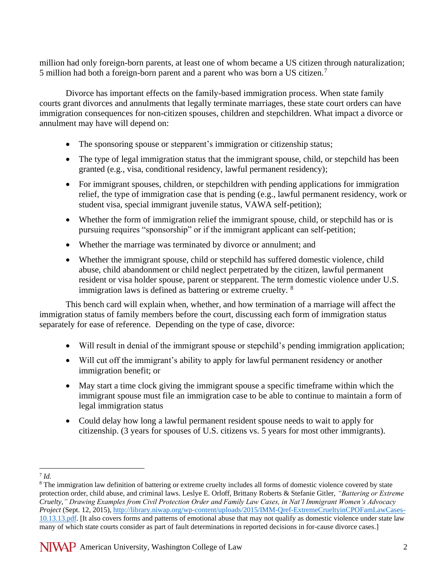million had only foreign-born parents, at least one of whom became a US citizen through naturalization; 5 million had both a foreign-born parent and a parent who was born a US citizen.<sup>7</sup>

Divorce has important effects on the family-based immigration process. When state family courts grant divorces and annulments that legally terminate marriages, these state court orders can have immigration consequences for non-citizen spouses, children and stepchildren. What impact a divorce or annulment may have will depend on:

- The sponsoring spouse or stepparent's immigration or citizenship status;
- The type of legal immigration status that the immigrant spouse, child, or stepchild has been granted (e.g., visa, conditional residency, lawful permanent residency);
- For immigrant spouses, children, or stepchildren with pending applications for immigration relief, the type of immigration case that is pending (e.g., lawful permanent residency, work or student visa, special immigrant juvenile status, VAWA self-petition);
- Whether the form of immigration relief the immigrant spouse, child, or stepchild has or is pursuing requires "sponsorship" or if the immigrant applicant can self-petition;
- Whether the marriage was terminated by divorce or annulment; and
- Whether the immigrant spouse, child or stepchild has suffered domestic violence, child abuse, child abandonment or child neglect perpetrated by the citizen, lawful permanent resident or visa holder spouse, parent or stepparent. The term domestic violence under U.S. immigration laws is defined as battering or extreme cruelty. <sup>8</sup>

This bench card will explain when, whether, and how termination of a marriage will affect the immigration status of family members before the court, discussing each form of immigration status separately for ease of reference. Depending on the type of case, divorce:

- Will result in denial of the immigrant spouse or stepchild's pending immigration application;
- Will cut off the immigrant's ability to apply for lawful permanent residency or another immigration benefit; or
- May start a time clock giving the immigrant spouse a specific timeframe within which the immigrant spouse must file an immigration case to be able to continue to maintain a form of legal immigration status
- Could delay how long a lawful permanent resident spouse needs to wait to apply for citizenship. (3 years for spouses of U.S. citizens vs. 5 years for most other immigrants).

<sup>7</sup> *Id.*

<sup>&</sup>lt;sup>8</sup> The immigration law definition of battering or extreme cruelty includes all forms of domestic violence covered by state protection order, child abuse, and criminal laws. Leslye E. Orloff, Brittany Roberts & Stefanie Gitler, *"Battering or Extreme Cruelty," Drawing Examples from Civil Protection Order and Family Law Cases, in Nat'l Immigrant Women's Advocacy Project* (Sept. 12, 2015), [http://library.niwap.org/wp-content/uploads/2015/IMM-Qref-ExtremeCrueltyinCPOFamLawCases-](http://library.niwap.org/wp-content/uploads/2015/IMM-Qref-ExtremeCrueltyinCPOFamLawCases-10.13.13.pdf)[10.13.13.pdf.](http://library.niwap.org/wp-content/uploads/2015/IMM-Qref-ExtremeCrueltyinCPOFamLawCases-10.13.13.pdf) [It also covers forms and patterns of emotional abuse that may not qualify as domestic violence under state law many of which state courts consider as part of fault determinations in reported decisions in for-cause divorce cases.]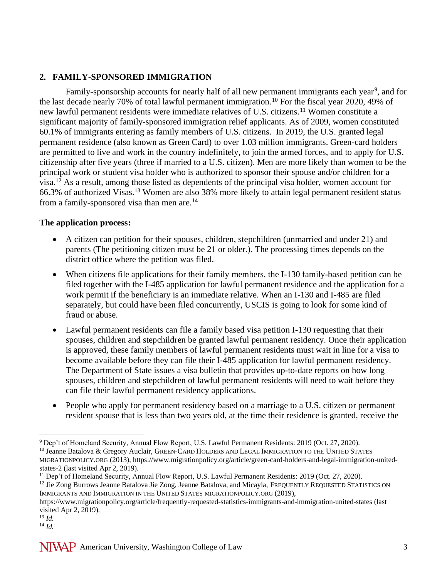## **2. FAMILY-SPONSORED IMMIGRATION**

Family-sponsorship accounts for nearly half of all new permanent immigrants each year<sup>9</sup>, and for the last decade nearly 70% of total lawful permanent immigration.<sup>10</sup> For the fiscal year 2020, 49% of new lawful permanent residents were immediate relatives of U.S. citizens. <sup>11</sup> Women constitute a significant majority of family-sponsored immigration relief applicants. As of 2009, women constituted 60.1% of immigrants entering as family members of U.S. citizens. In 2019, the U.S. granted legal permanent residence (also known as Green Card) to over 1.03 million immigrants. Green-card holders are permitted to live and work in the country indefinitely, to join the armed forces, and to apply for U.S. citizenship after five years (three if married to a U.S. citizen). Men are more likely than women to be the principal work or student visa holder who is authorized to sponsor their spouse and/or children for a visa.<sup>12</sup> As a result, among those listed as dependents of the principal visa holder, women account for 66.3% of authorized Visas.<sup>13</sup> Women are also 38% more likely to attain legal permanent resident status from a family-sponsored visa than men are.<sup>14</sup>

### **The application process:**

- A citizen can petition for their spouses, children, stepchildren (unmarried and under 21) and parents (The petitioning citizen must be 21 or older.). The processing times depends on the district office where the petition was filed.
- When citizens file applications for their family members, the I-130 family-based petition can be filed together with the I-485 application for lawful permanent residence and the application for a work permit if the beneficiary is an immediate relative. When an I-130 and I-485 are filed separately, but could have been filed concurrently, USCIS is going to look for some kind of fraud or abuse.
- Lawful permanent residents can file a family based visa petition I-130 requesting that their spouses, children and stepchildren be granted lawful permanent residency. Once their application is approved, these family members of lawful permanent residents must wait in line for a visa to become available before they can file their I-485 application for lawful permanent residency. The Department of State issues a visa bulletin that provides up-to-date reports on how long spouses, children and stepchildren of lawful permanent residents will need to wait before they can file their lawful permanent residency applications.
- People who apply for permanent residency based on a marriage to a U.S. citizen or permanent resident spouse that is less than two years old, at the time their residence is granted, receive the

<sup>12</sup> Jie Zong Burrows Jeanne Batalova Jie Zong, Jeanne Batalova, and Micayla, FREQUENTLY REQUESTED STATISTICS ON IMMIGRANTS AND IMMIGRATION IN THE UNITED STATES MIGRATIONPOLICY.ORG (2019),

<sup>13</sup> *Id.*

<sup>9</sup> Dep't of Homeland Security, Annual Flow Report, U.S. Lawful Permanent Residents: 2019 (Oct. 27, 2020). <sup>10</sup> Jeanne Batalova & Gregory Auclair, GREEN-CARD HOLDERS AND LEGAL IMMIGRATION TO THE UNITED STATES MIGRATIONPOLICY.ORG (2013), https://www.migrationpolicy.org/article/green-card-holders-and-legal-immigration-unitedstates-2 (last visited Apr 2, 2019).

<sup>&</sup>lt;sup>11</sup> Dep't of Homeland Security, Annual Flow Report, U.S. Lawful Permanent Residents: 2019 (Oct. 27, 2020).

https://www.migrationpolicy.org/article/frequently-requested-statistics-immigrants-and-immigration-united-states (last visited Apr 2, 2019).

<sup>14</sup> *Id.*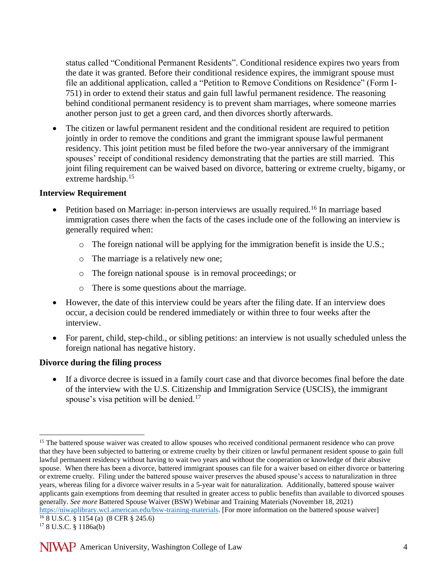status called "Conditional Permanent Residents". Conditional residence expires two years from the date it was granted. Before their conditional residence expires, the immigrant spouse must file an additional application, called a "Petition to Remove Conditions on Residence" (Form I-751) in order to extend their status and gain full lawful permanent residence. The reasoning behind conditional permanent residency is to prevent sham marriages, where someone marries another person just to get a green card, and then divorces shortly afterwards.

The citizen or lawful permanent resident and the conditional resident are required to petition jointly in order to remove the conditions and grant the immigrant spouse lawful permanent residency. This joint petition must be filed before the two-year anniversary of the immigrant spouses' receipt of conditional residency demonstrating that the parties are still married. This joint filing requirement can be waived based on divorce, battering or extreme cruelty, bigamy, or extreme hardship.<sup>15</sup>

### **Interview Requirement**

- Petition based on Marriage: in-person interviews are usually required.<sup>16</sup> In marriage based immigration cases there when the facts of the cases include one of the following an interview is generally required when:
	- o The foreign national will be applying for the immigration benefit is inside the U.S.;
	- o The marriage is a relatively new one;
	- o The foreign national spouse is in removal proceedings; or
	- o There is some questions about the marriage.
- However, the date of this interview could be years after the filing date. If an interview does occur, a decision could be rendered immediately or within three to four weeks after the interview.
- For parent, child, step-child., or sibling petitions: an interview is not usually scheduled unless the foreign national has negative history.

### **Divorce during the filing process**

• If a divorce decree is issued in a family court case and that divorce becomes final before the date of the interview with the U.S. Citizenship and Immigration Service (USCIS), the immigrant spouse's visa petition will be denied.<sup>17</sup>

<sup>&</sup>lt;sup>15</sup> The battered spouse waiver was created to allow spouses who received conditional permanent residence who can prove that they have been subjected to battering or extreme cruelty by their citizen or lawful permanent resident spouse to gain full lawful permanent residency without having to wait two years and without the cooperation or knowledge of their abusive spouse. When there has been a divorce, battered immigrant spouses can file for a waiver based on either divorce or battering or extreme cruelty. Filing under the battered spouse waiver preserves the abused spouse's access to naturalization in three years, whereas filing for a divorce waiver results in a 5-year wait for naturalization. Additionally, battered spouse waiver applicants gain exemptions from deeming that resulted in greater access to public benefits than available to divorced spouses generally. *See more* Battered Spouse Waiver (BSW) Webinar and Training Materials (November 18, 2021) [https://niwaplibrary.wcl.american.edu/bsw-training-materials.](https://niwaplibrary.wcl.american.edu/bsw-training-materials) [For more information on the battered spouse waiver]  $168 \text{ U.S.C.}$  § 1154 (a) (8 CFR § 245.6)

<sup>17</sup> 8 U.S.C. § 1186a(b)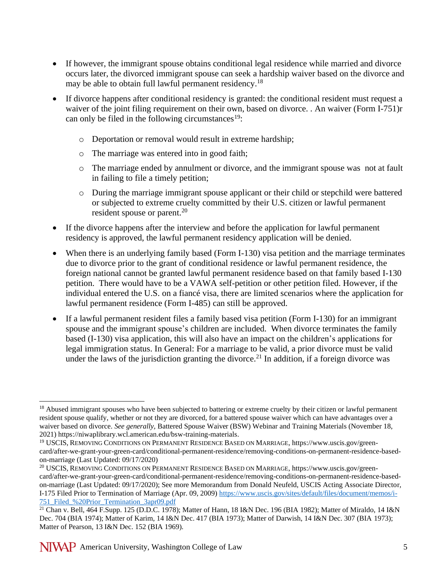- If however, the immigrant spouse obtains conditional legal residence while married and divorce occurs later, the divorced immigrant spouse can seek a hardship waiver based on the divorce and may be able to obtain full lawful permanent residency.<sup>18</sup>
- If divorce happens after conditional residency is granted: the conditional resident must request a waiver of the joint filing requirement on their own, based on divorce. . An waiver (Form I-751)r can only be filed in the following circumstances<sup>19</sup>:
	- o Deportation or removal would result in extreme hardship;
	- o The marriage was entered into in good faith;
	- o The marriage ended by annulment or divorce, and the immigrant spouse was not at fault in failing to file a timely petition;
	- o During the marriage immigrant spouse applicant or their child or stepchild were battered or subjected to extreme cruelty committed by their U.S. citizen or lawful permanent resident spouse or parent.<sup>20</sup>
- If the divorce happens after the interview and before the application for lawful permanent residency is approved, the lawful permanent residency application will be denied.
- When there is an underlying family based (Form I-130) visa petition and the marriage terminates due to divorce prior to the grant of conditional residence or lawful permanent residence, the foreign national cannot be granted lawful permanent residence based on that family based I-130 petition. There would have to be a VAWA self-petition or other petition filed. However, if the individual entered the U.S. on a fiancé visa, there are limited scenarios where the application for lawful permanent residence (Form I-485) can still be approved.
- If a lawful permanent resident files a family based visa petition (Form I-130) for an immigrant spouse and the immigrant spouse's children are included. When divorce terminates the family based (I-130) visa application, this will also have an impact on the children's applications for legal immigration status. In General: For a marriage to be valid, a prior divorce must be valid under the laws of the jurisdiction granting the divorce.<sup>21</sup> In addition, if a foreign divorce was

<sup>&</sup>lt;sup>18</sup> Abused immigrant spouses who have been subjected to battering or extreme cruelty by their citizen or lawful permanent resident spouse qualify, whether or not they are divorced, for a battered spouse waiver which can have advantages over a waiver based on divorce. *See generally,* Battered Spouse Waiver (BSW) Webinar and Training Materials (November 18, 2021) https://niwaplibrary.wcl.american.edu/bsw-training-materials.

<sup>19</sup> USCIS, REMOVING CONDITIONS ON PERMANENT RESIDENCE BASED ON MARRIAGE, https://www.uscis.gov/greencard/after-we-grant-your-green-card/conditional-permanent-residence/removing-conditions-on-permanent-residence-basedon-marriage (Last Updated: 09/17/2020)

<sup>20</sup> USCIS, REMOVING CONDITIONS ON PERMANENT RESIDENCE BASED ON MARRIAGE, https://www.uscis.gov/greencard/after-we-grant-your-green-card/conditional-permanent-residence/removing-conditions-on-permanent-residence-basedon-marriage (Last Updated: 09/17/2020); See more Memorandum from Donald Neufeld, USCIS Acting Associate Director, I-175 Filed Prior to Termination of Marriage (Apr. 09, 2009) [https://www.uscis.gov/sites/default/files/document/memos/i-](https://www.uscis.gov/sites/default/files/document/memos/i-751_Filed_%20Prior_Termination_3apr09.pdf)[751\\_Filed\\_%20Prior\\_Termination\\_3apr09.pdf](https://www.uscis.gov/sites/default/files/document/memos/i-751_Filed_%20Prior_Termination_3apr09.pdf)

<sup>&</sup>lt;sup>21</sup> Chan v. Bell, 464 F.Supp. 125 (D.D.C. 1978); Matter of Hann, 18 I&N Dec. 196 (BIA 1982); Matter of Miraldo, 14 I&N Dec. 704 (BIA 1974); Matter of Karim, 14 I&N Dec. 417 (BIA 1973); Matter of Darwish, 14 I&N Dec. 307 (BIA 1973); Matter of Pearson, 13 I&N Dec. 152 (BIA 1969).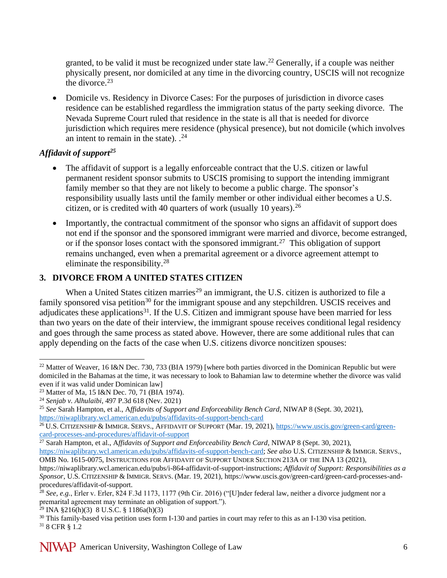granted, to be valid it must be recognized under state law.<sup>22</sup> Generally, if a couple was neither physically present, nor domiciled at any time in the divorcing country, USCIS will not recognize the divorce. 23

• Domicile vs. Residency in Divorce Cases: For the purposes of jurisdiction in divorce cases residence can be established regardless the immigration status of the party seeking divorce. The Nevada Supreme Court ruled that residence in the state is all that is needed for divorce jurisdiction which requires mere residence (physical presence), but not domicile (which involves an intent to remain in the state).  $.^{24}$ 

### *Affidavit of support<sup>25</sup>*

- The affidavit of support is a legally enforceable contract that the U.S. citizen or lawful permanent resident sponsor submits to USCIS promising to support the intending immigrant family member so that they are not likely to become a public charge. The sponsor's responsibility usually lasts until the family member or other individual either becomes a U.S. citizen, or is credited with 40 quarters of work (usually 10 years).  $^{26}$
- Importantly, the contractual commitment of the sponsor who signs an affidavit of support does not end if the sponsor and the sponsored immigrant were married and divorce, become estranged, or if the sponsor loses contact with the sponsored immigrant.<sup>27</sup> This obligation of support remains unchanged, even when a premarital agreement or a divorce agreement attempt to eliminate the responsibility.<sup>28</sup>

# **3. DIVORCE FROM A UNITED STATES CITIZEN**

When a United States citizen marries<sup>29</sup> an immigrant, the U.S. citizen is authorized to file a family sponsored visa petition<sup>30</sup> for the immigrant spouse and any stepchildren. USCIS receives and adjudicates these applications<sup>31</sup>. If the U.S. Citizen and immigrant spouse have been married for less than two years on the date of their interview, the immigrant spouse receives conditional legal residency and goes through the same process as stated above. However, there are some additional rules that can apply depending on the facts of the case when U.S. citizens divorce noncitizen spouses:

<sup>&</sup>lt;sup>22</sup> Matter of Weaver, 16 I&N Dec. 730, 733 (BIA 1979) [where both parties divorced in the Dominican Republic but were domiciled in the Bahamas at the time, it was necessary to look to Bahamian law to determine whether the divorce was valid even if it was valid under Dominican law]

<sup>23</sup> Matter of Ma, 15 I&N Dec. 70, 71 (BIA 1974).

<sup>24</sup> *Senjab v. Alhulaibi*, 497 P.3d 618 (Nev. 2021)

<sup>25</sup> *See* Sarah Hampton, et al., A*ffidavits of Support and Enforceability Bench Card*, NIWAP 8 (Sept. 30, 2021), <https://niwaplibrary.wcl.american.edu/pubs/affidavits-of-support-bench-card>

<sup>&</sup>lt;sup>26</sup> U.S. CITIZENSHIP & IMMIGR. SERVS., AFFIDAVIT OF SUPPORT (Mar. 19, 2021), [https://www.uscis.gov/green-card/green](https://www.uscis.gov/green-card/green-card-processes-and-procedures/affidavit-of-support)[card-processes-and-procedures/affidavit-of-support](https://www.uscis.gov/green-card/green-card-processes-and-procedures/affidavit-of-support) 

<sup>&</sup>lt;sup>27</sup> Sarah Hampton, et al., Affidavits of Support and Enforceability Bench Card, NIWAP 8 (Sept. 30, 2021), [https://niwaplibrary.wcl.american.edu/pubs/affidavits-of-support-bench-card;](https://niwaplibrary.wcl.american.edu/pubs/affidavits-of-support-bench-card) *See also* U.S. CITIZENSHIP & IMMIGR. SERVS., OMB No. 1615-0075, INSTRUCTIONS FOR AFFIDAVIT OF SUPPORT UNDER SECTION 213A OF THE INA 13 (2021),

https://niwaplibrary.wcl.american.edu/pubs/i-864-affidavit-of-support-instructions; *Affidavit of Support: Responsibilities as a Sponsor*, U.S. CITIZENSHIP & IMMIGR.SERVS. (Mar. 19, 2021), https://www.uscis.gov/green-card/green-card-processes-andprocedures/affidavit-of-support.

<sup>28</sup> *See, e.g.*, Erler v. Erler, 824 F.3d 1173, 1177 (9th Cir. 2016) ("[U]nder federal law, neither a divorce judgment nor a premarital agreement may terminate an obligation of support.").

 $^{29}$  INA §216(h)(3) 8 U.S.C. § 1186a(h)(3)

<sup>&</sup>lt;sup>30</sup> This family-based visa petition uses form I-130 and parties in court may refer to this as an I-130 visa petition. <sup>31</sup> 8 CFR § 1.2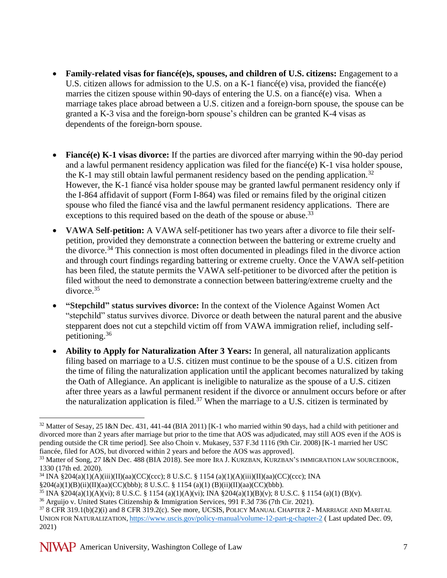- **Family-related visas for fiancé(e)s, spouses, and children of U.S. citizens:** Engagement to a U.S. citizen allows for admission to the U.S. on a K-1 fiancé(e) visa, provided the fiancé(e) marries the citizen spouse within 90-days of entering the U.S. on a fiancé(e) visa. When a marriage takes place abroad between a U.S. citizen and a foreign-born spouse, the spouse can be granted a K-3 visa and the foreign-born spouse's children can be granted K-4 visas as dependents of the foreign-born spouse.
- **Fiancé(e) K-1 visas divorce:** If the parties are divorced after marrying within the 90-day period and a lawful permanent residency application was filed for the fiancé(e) K-1 visa holder spouse, the K-1 may still obtain lawful permanent residency based on the pending application.<sup>32</sup> However, the K-1 fiancé visa holder spouse may be granted lawful permanent residency only if the I-864 affidavit of support (Form I-864) was filed or remains filed by the original citizen spouse who filed the fiancé visa and the lawful permanent residency applications. There are exceptions to this required based on the death of the spouse or abuse.<sup>33</sup>
- **VAWA Self-petition:** A VAWA self-petitioner has two years after a divorce to file their selfpetition, provided they demonstrate a connection between the battering or extreme cruelty and the divorce.<sup>34</sup> This connection is most often documented in pleadings filed in the divorce action and through court findings regarding battering or extreme cruelty. Once the VAWA self-petition has been filed, the statute permits the VAWA self-petitioner to be divorced after the petition is filed without the need to demonstrate a connection between battering/extreme cruelty and the divorce.<sup>35</sup>
- **"Stepchild" status survives divorce:** In the context of the Violence Against Women Act "stepchild" status survives divorce. Divorce or death between the natural parent and the abusive stepparent does not cut a stepchild victim off from VAWA immigration relief, including selfpetitioning.<sup>36</sup>
- **Ability to Apply for Naturalization After 3 Years:** In general, all naturalization applicants filing based on marriage to a U.S. citizen must continue to be the spouse of a U.S. citizen from the time of filing the naturalization application until the applicant becomes naturalized by taking the Oath of Allegiance. An applicant is ineligible to naturalize as the spouse of a U.S. citizen after three years as a lawful permanent resident if the divorce or annulment occurs before or after the naturalization application is filed.<sup>37</sup> When the marriage to a U.S. citizen is terminated by

 $32$  Matter of Sesay, 25 I&N Dec. 431, 441-44 (BIA 2011) [K-1 who married within 90 days, had a child with petitioner and divorced more than 2 years after marriage but prior to the time that AOS was adjudicated, may still AOS even if the AOS is pending outside the CR time period]. See also Choin v. Mukasey, 537 F.3d 1116 (9th Cir. 2008) [K-1 married her USC fiancée, filed for AOS, but divorced within 2 years and before the AOS was approved].

<sup>33</sup> Matter of Song, 27 I&N Dec. 488 (BIA 2018). See more IRA J. KURZBAN, KURZBAN'S IMMIGRATION LAW SOURCEBOOK, 1330 (17th ed. 2020).

<sup>34</sup> INA §204(a)(1)(A)(iii)(II)(aa)(CC)(ccc); 8 U.S.C. § 1154 (a)(1)(A)(iii)(II)(aa)(CC)(ccc); INA §204(a)(1)(B)(ii)(II)(aa)(CC)(bbb); 8 U.S.C. § 1154 (a)(1) (B)(ii)(II)(aa)(CC)(bbb).

<sup>35</sup> INA §204(a)(1)(A)(vi); 8 U.S.C. § 1154 (a)(1)(A)(vi); INA §204(a)(1)(B)(v); 8 U.S.C. § 1154 (a)(1) (B)(v).

<sup>36</sup> Arguijo v. United States Citizenship & Immigration Services, 991 F.3d 736 (7th Cir. 2021).

<sup>&</sup>lt;sup>37</sup> 8 CFR 319.1(b)(2)(i) and 8 CFR 319.2(c). See more, UCSIS, POLICY MANUAL CHAPTER 2 - MARRIAGE AND MARITAL UNION FOR NATURALIZATION, <https://www.uscis.gov/policy-manual/volume-12-part-g-chapter-2> ( Last updated Dec. 09, 2021)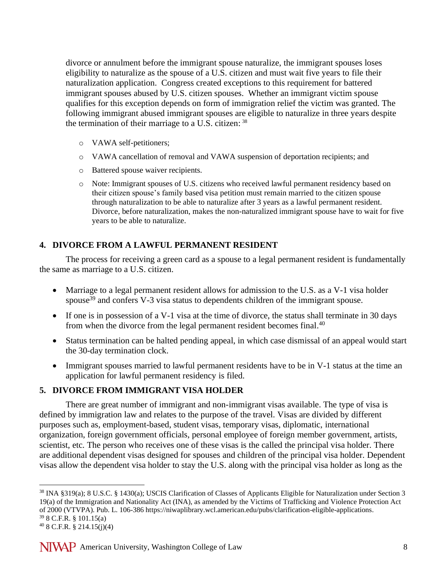divorce or annulment before the immigrant spouse naturalize, the immigrant spouses loses eligibility to naturalize as the spouse of a U.S. citizen and must wait five years to file their naturalization application. Congress created exceptions to this requirement for battered immigrant spouses abused by U.S. citizen spouses. Whether an immigrant victim spouse qualifies for this exception depends on form of immigration relief the victim was granted. The following immigrant abused immigrant spouses are eligible to naturalize in three years despite the termination of their marriage to a U.S. citizen: <sup>38</sup>

- o VAWA self-petitioners;
- o VAWA cancellation of removal and VAWA suspension of deportation recipients; and
- o Battered spouse waiver recipients.
- o Note: Immigrant spouses of U.S. citizens who received lawful permanent residency based on their citizen spouse's family based visa petition must remain married to the citizen spouse through naturalization to be able to naturalize after 3 years as a lawful permanent resident. Divorce, before naturalization, makes the non-naturalized immigrant spouse have to wait for five years to be able to naturalize.

### **4. DIVORCE FROM A LAWFUL PERMANENT RESIDENT**

The process for receiving a green card as a spouse to a legal permanent resident is fundamentally the same as marriage to a U.S. citizen.

- Marriage to a legal permanent resident allows for admission to the U.S. as a V-1 visa holder spouse<sup>39</sup> and confers V-3 visa status to dependents children of the immigrant spouse.
- If one is in possession of a V-1 visa at the time of divorce, the status shall terminate in 30 days from when the divorce from the legal permanent resident becomes final.<sup>40</sup>
- Status termination can be halted pending appeal, in which case dismissal of an appeal would start the 30-day termination clock.
- Immigrant spouses married to lawful permanent residents have to be in V-1 status at the time an application for lawful permanent residency is filed.

### **5. DIVORCE FROM IMMIGRANT VISA HOLDER**

There are great number of immigrant and non-immigrant visas available. The type of visa is defined by immigration law and relates to the purpose of the travel. Visas are divided by different purposes such as, employment-based, student visas, temporary visas, diplomatic, international organization, foreign government officials, personal employee of foreign member government, artists, scientist, etc. The person who receives one of these visas is the called the principal visa holder. There are additional dependent visas designed for spouses and children of the principal visa holder. Dependent visas allow the dependent visa holder to stay the U.S. along with the principal visa holder as long as the

<sup>38</sup> INA §319(a); 8 U.S.C. § 1430(a); USCIS Clarification of Classes of Applicants Eligible for Naturalization under Section 3 19(a) of the Immigration and Nationality Act (INA), as amended by the Victims of Trafficking and Violence Protection Act of 2000 (VTVPA). Pub. L. 106-386 https://niwaplibrary.wcl.american.edu/pubs/clarification-eligible-applications. <sup>39</sup> 8 C.F.R. § 101.15(a)

 $40$  8 C.F.R. § 214.15(j)(4)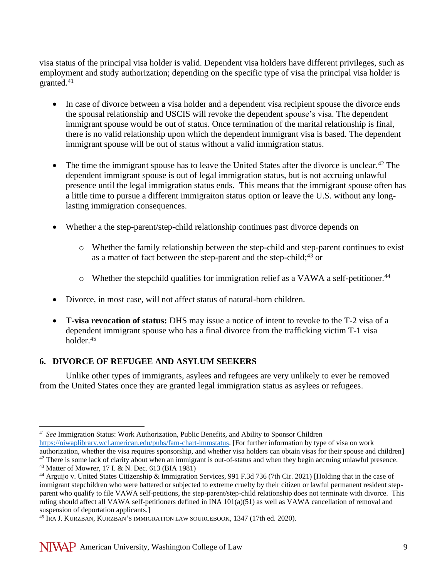visa status of the principal visa holder is valid. Dependent visa holders have different privileges, such as employment and study authorization; depending on the specific type of visa the principal visa holder is granted.<sup>41</sup>

- In case of divorce between a visa holder and a dependent visa recipient spouse the divorce ends the spousal relationship and USCIS will revoke the dependent spouse's visa. The dependent immigrant spouse would be out of status. Once termination of the marital relationship is final, there is no valid relationship upon which the dependent immigrant visa is based. The dependent immigrant spouse will be out of status without a valid immigration status.
- The time the immigrant spouse has to leave the United States after the divorce is unclear.<sup>42</sup> The dependent immigrant spouse is out of legal immigration status, but is not accruing unlawful presence until the legal immigration status ends. This means that the immigrant spouse often has a little time to pursue a different immigraiton status option or leave the U.S. without any longlasting immigration consequences.
- Whether a the step-parent/step-child relationship continues past divorce depends on
	- o Whether the family relationship between the step-child and step-parent continues to exist as a matter of fact between the step-parent and the step-child;<sup>43</sup> or
	- $\circ$  Whether the stepchild qualifies for immigration relief as a VAWA a self-petitioner.<sup>44</sup>
- Divorce, in most case, will not affect status of natural-born children.
- **T-visa revocation of status:** DHS may issue a notice of intent to revoke to the T-2 visa of a dependent immigrant spouse who has a final divorce from the trafficking victim T-1 visa holder.<sup>45</sup>

# **6. DIVORCE OF REFUGEE AND ASYLUM SEEKERS**

Unlike other types of immigrants, asylees and refugees are very unlikely to ever be removed from the United States once they are granted legal immigration status as asylees or refugees.

<sup>41</sup> *See* Immigration Status: Work Authorization, Public Benefits, and Ability to Sponsor Children

[https://niwaplibrary.wcl.american.edu/pubs/fam-chart-immstatus.](https://niwaplibrary.wcl.american.edu/pubs/fam-chart-immstatus) [For further information by type of visa on work authorization, whether the visa requires sponsorship, and whether visa holders can obtain visas for their spouse and children]  $42$  There is some lack of clarity about when an immigrant is out-of-status and when they begin accruing unlawful presence.

<sup>43</sup> Matter of Mowrer, 17 I. & N. Dec. 613 (BIA 1981)

<sup>44</sup> Arguijo v. United States Citizenship & Immigration Services, 991 F.3d 736 (7th Cir. 2021) [Holding that in the case of immigrant stepchildren who were battered or subjected to extreme cruelty by their citizen or lawful permanent resident stepparent who qualify to file VAWA self-petitions, the step-parent/step-child relationship does not terminate with divorce. This ruling should affect all VAWA self-petitioners defined in INA 101(a)(51) as well as VAWA cancellation of removal and suspension of deportation applicants.]

<sup>45</sup> IRA J. KURZBAN, KURZBAN'S IMMIGRATION LAW SOURCEBOOK, 1347 (17th ed. 2020).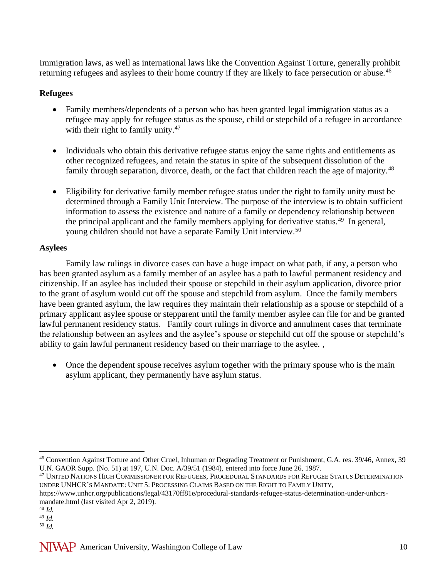Immigration laws, as well as international laws like the Convention Against Torture, generally prohibit returning refugees and asylees to their home country if they are likely to face persecution or abuse.<sup>46</sup>

## **Refugees**

- Family members/dependents of a person who has been granted legal immigration status as a refugee may apply for refugee status as the spouse, child or stepchild of a refugee in accordance with their right to family unity.<sup>47</sup>
- Individuals who obtain this derivative refugee status enjoy the same rights and entitlements as other recognized refugees, and retain the status in spite of the subsequent dissolution of the family through separation, divorce, death, or the fact that children reach the age of majority.<sup>48</sup>
- Eligibility for derivative family member refugee status under the right to family unity must be determined through a Family Unit Interview. The purpose of the interview is to obtain sufficient information to assess the existence and nature of a family or dependency relationship between the principal applicant and the family members applying for derivative status.<sup>49</sup> In general, young children should not have a separate Family Unit interview.<sup>50</sup>

# **Asylees**

Family law rulings in divorce cases can have a huge impact on what path, if any, a person who has been granted asylum as a family member of an asylee has a path to lawful permanent residency and citizenship. If an asylee has included their spouse or stepchild in their asylum application, divorce prior to the grant of asylum would cut off the spouse and stepchild from asylum. Once the family members have been granted asylum, the law requires they maintain their relationship as a spouse or stepchild of a primary applicant asylee spouse or stepparent until the family member asylee can file for and be granted lawful permanent residency status. Family court rulings in divorce and annulment cases that terminate the relationship between an asylees and the asylee's spouse or stepchild cut off the spouse or stepchild's ability to gain lawful permanent residency based on their marriage to the asylee. ,

• Once the dependent spouse receives asylum together with the primary spouse who is the main asylum applicant, they permanently have asylum status.

<sup>46</sup> Convention Against Torture and Other Cruel, Inhuman or Degrading Treatment or Punishment, G.A. res. 39/46, Annex, 39 U.N. GAOR Supp. (No. 51) at 197, U.N. Doc. A/39/51 (1984), entered into force June 26, 1987.

<sup>47</sup> UNITED NATIONS HIGH COMMISSIONER FOR REFUGEES, PROCEDURAL STANDARDS FOR REFUGEE STATUS DETERMINATION UNDER UNHCR'S MANDATE: UNIT 5: PROCESSING CLAIMS BASED ON THE RIGHT TO FAMILY UNITY,

https://www.unhcr.org/publications/legal/43170ff81e/procedural-standards-refugee-status-determination-under-unhcrsmandate.html (last visited Apr 2, 2019).

<sup>48</sup> *Id.*

<sup>49</sup> *Id.*

<sup>50</sup> *Id.*